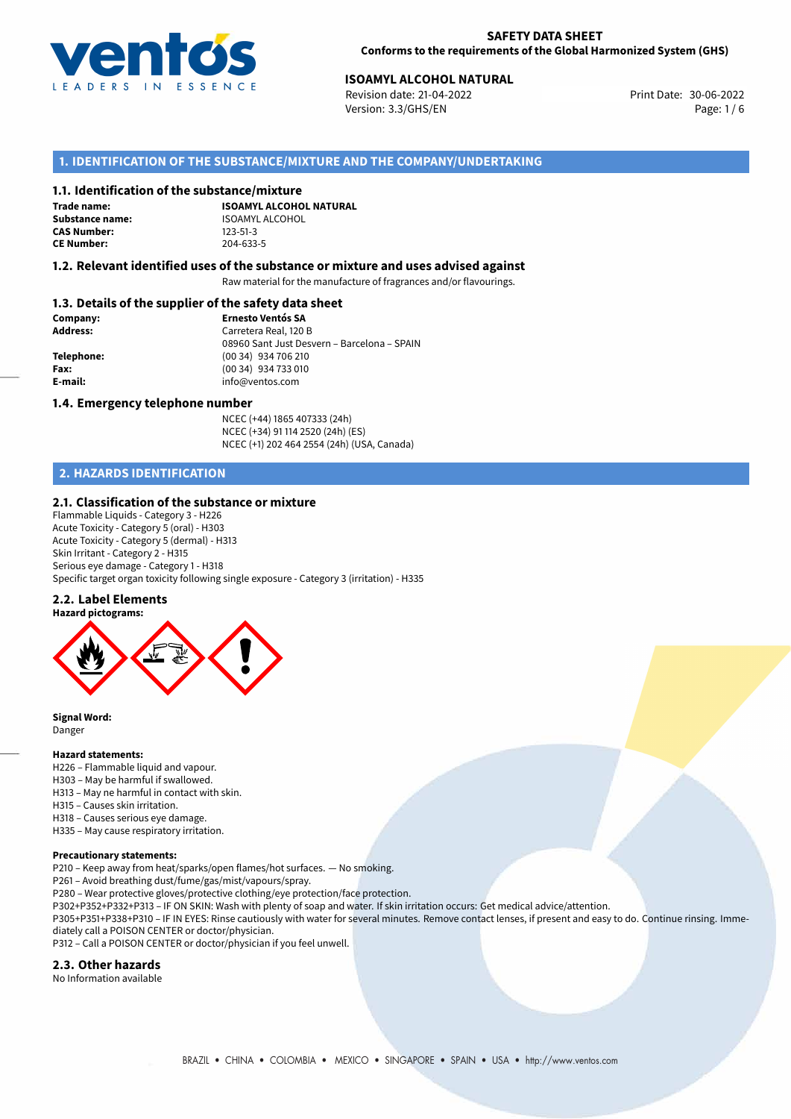

# **ISOAMYL ALCOHOL NATURAL**<br> **1998 Revision date: 21-04-2022 ISOANT Revision date: 30-06-2022**

Revision date: 21-04-2022 Version: 3.3/GHS/EN Page: 1 / 6

## **1. IDENTIFICATION OF THE SUBSTANCE/MIXTURE AND THE COMPANY/UNDERTAKING**

#### **1.1. Identification of the substance/mixture**

**Trade name: CAS Number: CE Number:** 204-633-5

**ISOAMYL ALCOHOL NATURAL Substance name:** ISOAMYL ALCOHOL<br> **CAS Number:** 123-51-3

#### **1.2. Relevant identified uses of the substance or mixture and uses advised against**

Raw material for the manufacture of fragrances and/or flavourings.

### **1.3. Details of the supplier of the safety data sheet**

| Company:        | <b>Ernesto Ventós SA</b>                    |
|-----------------|---------------------------------------------|
| <b>Address:</b> | Carretera Real, 120 B                       |
|                 | 08960 Sant Just Desvern - Barcelona - SPAIN |
| Telephone:      | (00 34) 934 706 210                         |
| Fax:            | (00 34) 934 733 010                         |
| E-mail:         | info@ventos.com                             |
|                 |                                             |

#### **1.4. Emergency telephone number**

NCEC (+44) 1865 407333 (24h) NCEC (+34) 91 114 2520 (24h) (ES) NCEC (+1) 202 464 2554 (24h) (USA, Canada)

# **2. HAZARDS IDENTIFICATION**

#### **2.1. Classification of the substance or mixture**

Flammable Liquids - Category 3 - H226 Acute Toxicity - Category 5 (oral) - H303 Acute Toxicity - Category 5 (dermal) - H313 Skin Irritant - Category 2 - H315 Serious eye damage - Category 1 - H318 Specific target organ toxicity following single exposure - Category 3 (irritation) - H335

#### **2.2. Label Elements**



**Signal Word:** Danger

#### **Hazard statements:**

- H226 Flammable liquid and vapour.
- H303 May be harmful if swallowed.
- H313 May ne harmful in contact with skin.
- H315 Causes skin irritation.
- H318 Causes serious eye damage.
- H335 May cause respiratory irritation.

#### **Precautionary statements:**

P210 – Keep away from heat/sparks/open flames/hot surfaces. — No smoking.

P261 – Avoid breathing dust/fume/gas/mist/vapours/spray.

P280 – Wear protective gloves/protective clothing/eye protection/face protection.

P302+P352+P332+P313 – IF ON SKIN: Wash with plenty of soap and water. If skin irritation occurs: Get medical advice/attention.

P305+P351+P338+P310 – IF IN EYES: Rinse cautiously with water for several minutes. Remove contact lenses, if present and easy to do. Continue rinsing. Immediately call a POISON CENTER or doctor/physician.

P312 – Call a POISON CENTER or doctor/physician if you feel unwell.

# **2.3. Other hazards**

No Information available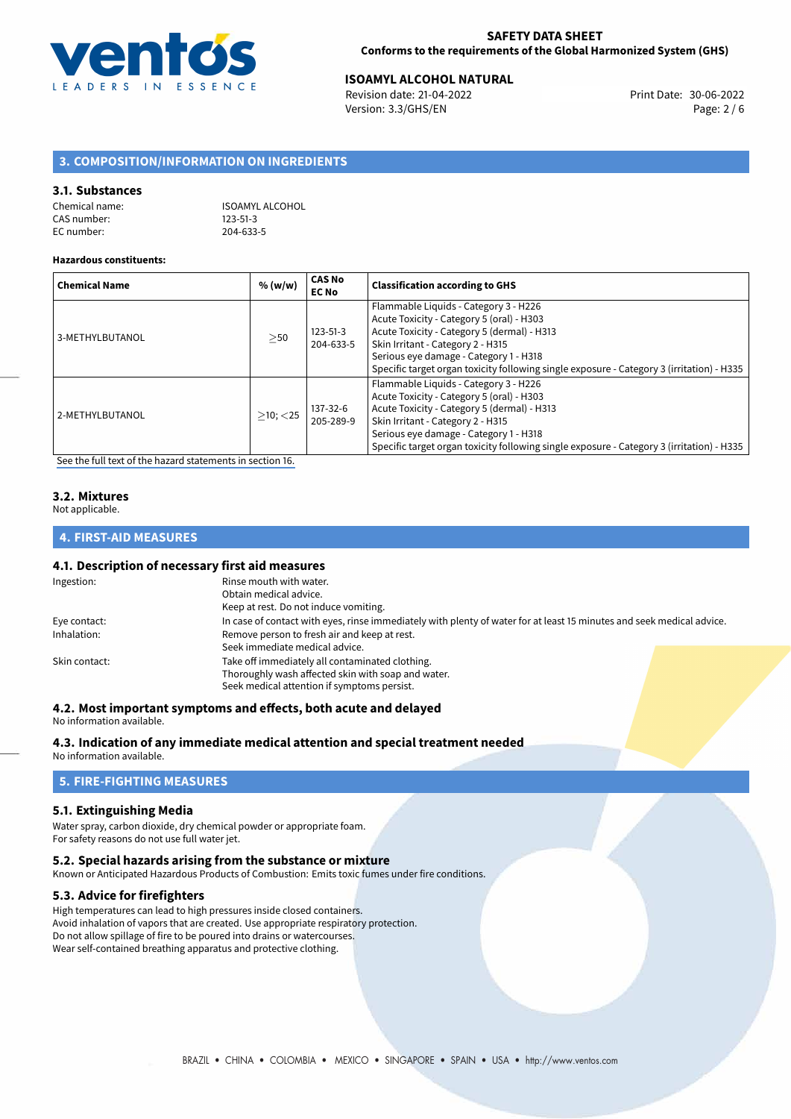

# 30-06-2022 **ISOAMYL ALCOHOL NATURAL**

Revision date: 21-04-2022 Version: 3.3/GHS/EN Page: 2 / 6

# **3. COMPOSITION/INFORMATION ON INGREDIENTS**

#### **3.1. Substances**

| Chemical name: | ISOAMYL ALCOHOL |
|----------------|-----------------|
| CAS number:    | $123 - 51 - 3$  |
| EC number:     | 204-633-5       |

#### **Hazardous constituents:**

| <b>Chemical Name</b> | % (w/w)        | <b>CAS No</b><br><b>EC No</b> | <b>Classification according to GHS</b>                                                                                                                                                                                                                                                                        |
|----------------------|----------------|-------------------------------|---------------------------------------------------------------------------------------------------------------------------------------------------------------------------------------------------------------------------------------------------------------------------------------------------------------|
| 3-METHYLBUTANOL      | $>$ 50         | $123 - 51 - 3$<br>204-633-5   | Flammable Liquids - Category 3 - H226<br>Acute Toxicity - Category 5 (oral) - H303<br>Acute Toxicity - Category 5 (dermal) - H313<br>Skin Irritant - Category 2 - H315<br>Serious eye damage - Category 1 - H318<br>Specific target organ toxicity following single exposure - Category 3 (irritation) - H335 |
| 2-METHYLBUTANOL      | $>10$ ; $<$ 25 | 137-32-6<br>205-289-9         | Flammable Liquids - Category 3 - H226<br>Acute Toxicity - Category 5 (oral) - H303<br>Acute Toxicity - Category 5 (dermal) - H313<br>Skin Irritant - Category 2 - H315<br>Serious eye damage - Category 1 - H318<br>Specific target organ toxicity following single exposure - Category 3 (irritation) - H335 |

[See the full text of the hazard statements in section 16.](#page-4-0)

#### **3.2. Mixtures**

Not applicable.

### **4. FIRST-AID MEASURES**

#### **4.1. Description of necessary first aid measures**

| Ingestion:    | Rinse mouth with water.                                                                                               |  |  |
|---------------|-----------------------------------------------------------------------------------------------------------------------|--|--|
|               | Obtain medical advice.                                                                                                |  |  |
|               | Keep at rest. Do not induce vomiting.                                                                                 |  |  |
| Eye contact:  | In case of contact with eyes, rinse immediately with plenty of water for at least 15 minutes and seek medical advice. |  |  |
| Inhalation:   | Remove person to fresh air and keep at rest.                                                                          |  |  |
|               | Seek immediate medical advice.                                                                                        |  |  |
| Skin contact: | Take off immediately all contaminated clothing.                                                                       |  |  |
|               | Thoroughly wash affected skin with soap and water.                                                                    |  |  |
|               | Seek medical attention if symptoms persist.                                                                           |  |  |

# **4.2. Most important symptoms and effects, both acute and delayed**

No information available.

#### **4.3. Indication of any immediate medical attention and special treatment needed**

No information available.

# **5. FIRE-FIGHTING MEASURES**

#### **5.1. Extinguishing Media**

Water spray, carbon dioxide, dry chemical powder or appropriate foam. For safety reasons do not use full water jet.

#### **5.2. Special hazards arising from the substance or mixture**

Known or Anticipated Hazardous Products of Combustion: Emits toxic fumes under fire conditions.

## **5.3. Advice for firefighters**

High temperatures can lead to high pressures inside closed containers. Avoid inhalation of vapors that are created. Use appropriate respiratory protection. Do not allow spillage of fire to be poured into drains or watercourses. Wear self-contained breathing apparatus and protective clothing.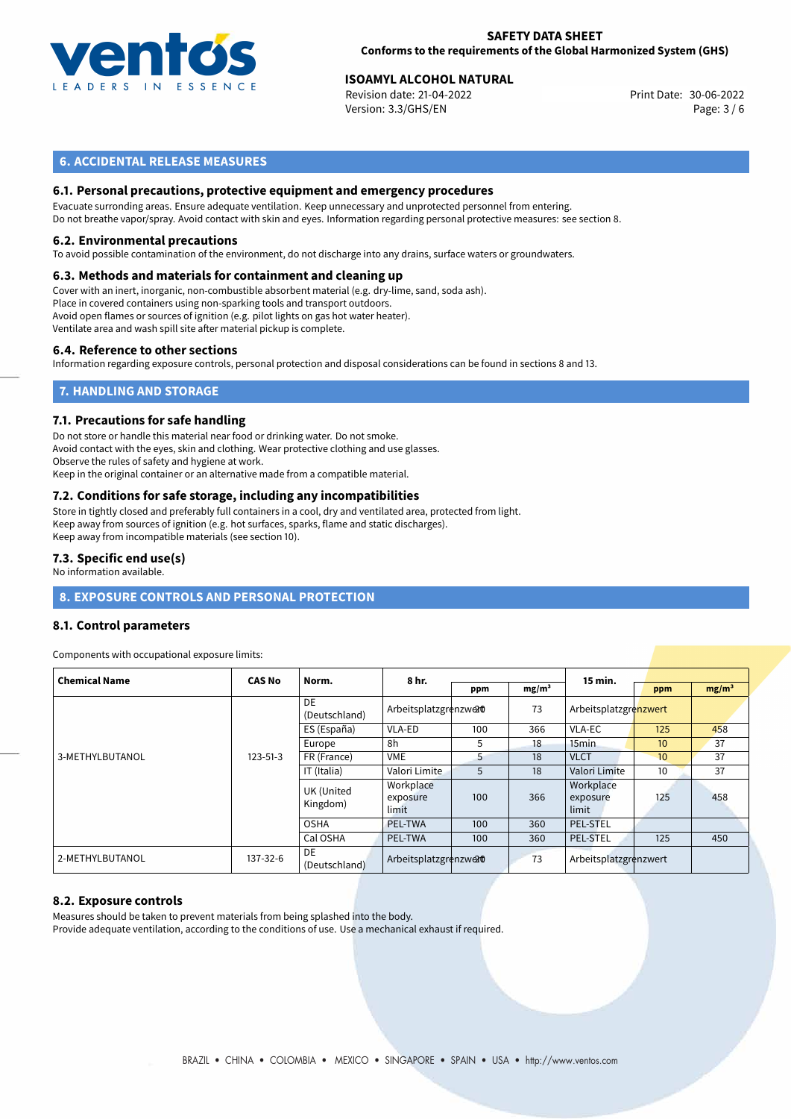

#### **SAFETY DATA SHEET Conforms to the requirements of the Global Harmonized System (GHS)**

# **ISOAMYL ALCOHOL NATURAL**<br> **1998 Revision date: 21-04-2022 ISOANT Revision date: 30-06-2022**

Revision date: 21-04-2022 Version: 3.3/GHS/EN Page: 3 / 6

# **6. ACCIDENTAL RELEASE MEASURES**

### **6.1. Personal precautions, protective equipment and emergency procedures**

Evacuate surronding areas. Ensure adequate ventilation. Keep unnecessary and unprotected personnel from entering. Do not breathe vapor/spray. Avoid contact with skin and eyes. Information regarding personal protective measures: see section 8.

#### **6.2. Environmental precautions**

To avoid possible contamination of the environment, do not discharge into any drains, surface waters or groundwaters.

## **6.3. Methods and materials for containment and cleaning up**

Cover with an inert, inorganic, non-combustible absorbent material (e.g. dry-lime, sand, soda ash). Place in covered containers using non-sparking tools and transport outdoors. Avoid open flames or sources of ignition (e.g. pilot lights on gas hot water heater). Ventilate area and wash spill site after material pickup is complete.

#### **6.4. Reference to other sections**

Information regarding exposure controls, personal protection and disposal considerations can be found in sections 8 and 13.

# **7. HANDLING AND STORAGE**

#### **7.1. Precautions for safe handling**

Do not store or handle this material near food or drinking water. Do not smoke. Avoid contact with the eyes, skin and clothing. Wear protective clothing and use glasses. Observe the rules of safety and hygiene at work. Keep in the original container or an alternative made from a compatible material.

# **7.2. Conditions for safe storage, including any incompatibilities**

Store in tightly closed and preferably full containers in a cool, dry and ventilated area, protected from light. Keep away from sources of ignition (e.g. hot surfaces, sparks, flame and static discharges). Keep away from incompatible materials (see section 10).

#### **7.3. Specific end use(s)**

No information available.

# **8. EXPOSURE CONTROLS AND PERSONAL PROTECTION**

#### **8.1. Control parameters**

Components with occupational exposure limits:

| <b>Chemical Name</b> | <b>CAS No</b>  | Norm.                         | 8 hr.                          |     |                   | 15 min.                        |                  |                   |
|----------------------|----------------|-------------------------------|--------------------------------|-----|-------------------|--------------------------------|------------------|-------------------|
|                      |                |                               |                                | ppm | mg/m <sup>3</sup> |                                | ppm              | mg/m <sup>3</sup> |
|                      | $123 - 51 - 3$ | DE<br>(Deutschland)           | Arbeitsplatzgrenzwerd          |     | 73                | Arbeitsplatzgrenzwert          |                  |                   |
|                      |                | ES (España)                   | VLA-ED                         | 100 | 366               | VLA-EC                         | 125              | 458               |
|                      |                | Europe                        | 8h                             | 5   | 18                | 15 <sub>min</sub>              | 10 <sup>10</sup> | 37                |
| 3-METHYLBUTANOL      |                | FR (France)                   | <b>VME</b>                     | 5   | 18                | <b>VLCT</b>                    | 10 <sup>10</sup> | 37                |
|                      |                | IT (Italia)                   | Valori Limite                  | 5   | 18                | Valori Limite                  | 10 <sup>10</sup> | 37                |
|                      |                | <b>UK (United</b><br>Kingdom) | Workplace<br>exposure<br>limit | 100 | 366               | Workplace<br>exposure<br>limit | 125              | 458               |
|                      |                | <b>OSHA</b>                   | <b>PEL-TWA</b>                 | 100 | 360               | <b>PEL-STEL</b>                |                  |                   |
|                      |                | Cal OSHA                      | PEL-TWA                        | 100 | 360               | PEL-STEL                       | 125              | 450               |
| 2-METHYLBUTANOL      | 137-32-6       | DE<br>(Deutschland)           | Arbeitsplatzgrenzwerd          |     | 73                | Arbeitsplatzgrenzwert          |                  |                   |

#### **8.2. Exposure controls**

Measures should be taken to prevent materials from being splashed into the body. Provide adequate ventilation, according to the conditions of use. Use a mechanical exhaust if required.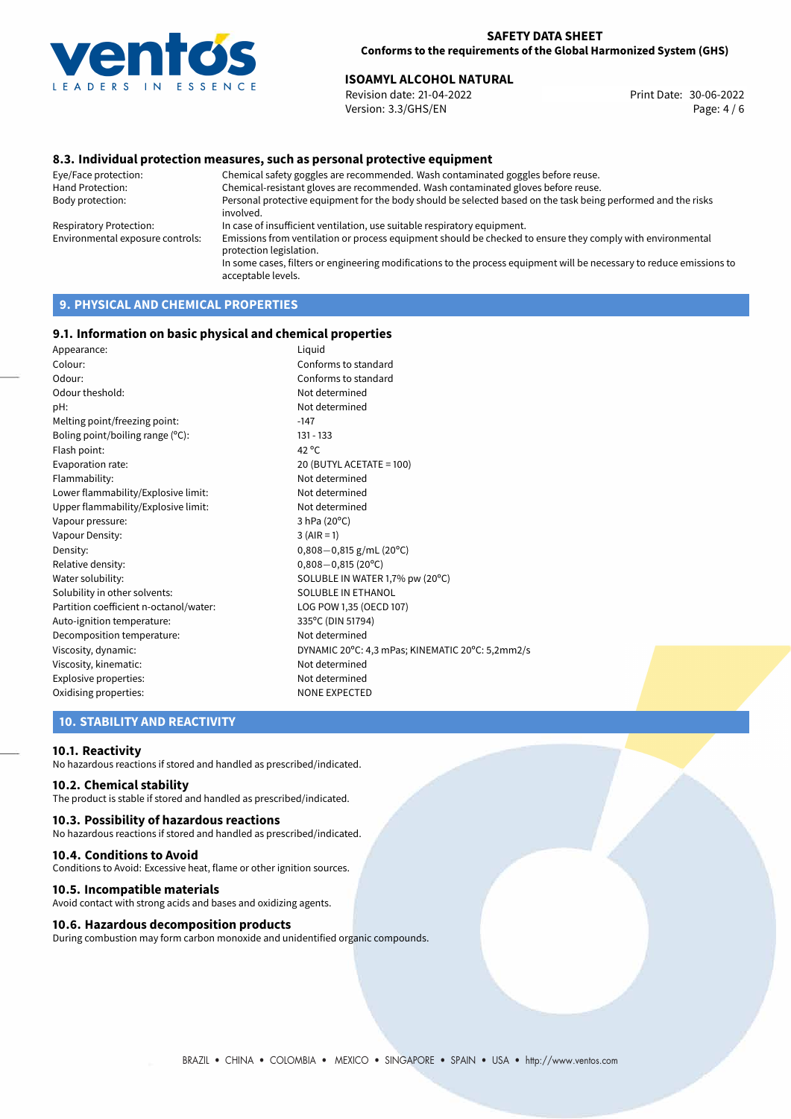

 $20^{\circ}$ C: 5,2mm2/s

# **ISOAMYL ALCOHOL NATURAL**<br> **1998** Revision date: 21-04-2022 **ISO**<br> **1998** Print Date: 30-06-2022

Revision date: 21-04-2022 Version: 3.3/GHS/EN Page: 4 / 6

### **8.3. Individual protection measures, such as personal protective equipment**

Eye/Face protection: Chemical safety goggles are recommended. Wash contaminated goggles before reuse. Chemical-resistant gloves are recommended. Wash contaminated gloves before reuse. Body protection: Personal protective equipment for the body should be selected based on the task being performed and the risks involved. Respiratory Protection: In case of insufficient ventilation, use suitable respiratory equipment. Environmental exposure controls: Emissions from ventilation or process equipment should be checked to ensure they comply with environmental protection legislation. In some cases, filters or engineering modifications to the process equipment will be necessary to reduce emissions to acceptable levels.

# **9. PHYSICAL AND CHEMICAL PROPERTIES**

#### **9.1. Information on basic physical and chemical properties**

| Appearance:                            | Liguid                                 |
|----------------------------------------|----------------------------------------|
| Colour:                                | Conforms to standard                   |
| Odour:                                 | Conforms to standard                   |
| Odour theshold:                        | Not determined                         |
| pH:                                    | Not determined                         |
| Melting point/freezing point:          | $-147$                                 |
| Boling point/boiling range $(°C)$ :    | $131 - 133$                            |
| Flash point:                           | 42 $^{\circ}$ C                        |
| Evaporation rate:                      | 20 (BUTYL ACETATE = 100)               |
| Flammability:                          | Not determined                         |
| Lower flammability/Explosive limit:    | Not determined                         |
| Upper flammability/Explosive limit:    | Not determined                         |
| Vapour pressure:                       | 3 hPa (20°C)                           |
| Vapour Density:                        | $3 (AIR = 1)$                          |
| Density:                               | $0,808-0,815$ g/mL (20 <sup>o</sup> C) |
| Relative density:                      | $0,808 - 0,815(20^{\circ}C)$           |
| Water solubility:                      | SOLUBLE IN WATER 1,7% pw (20°C)        |
| Solubility in other solvents:          | SOLUBLE IN ETHANOL                     |
| Partition coefficient n-octanol/water: | LOG POW 1,35 (OECD 107)                |
| Auto-ignition temperature:             | 335°C (DIN 51794)                      |
| Decomposition temperature:             | Not determined                         |
| Viscosity, dynamic:                    | DYNAMIC 20°C: 4,3 mPas; KINEMATIC      |
| Viscosity, kinematic:                  | Not determined                         |
| Explosive properties:                  | Not determined                         |
| Oxidising properties:                  | <b>NONE EXPECTED</b>                   |
|                                        |                                        |

## **10. STABILITY AND REACTIVITY**

#### **10.1. Reactivity**

No hazardous reactions if stored and handled as prescribed/indicated.

#### **10.2. Chemical stability**

The product is stable if stored and handled as prescribed/indicated.

#### **10.3. Possibility of hazardous reactions**

No hazardous reactions if stored and handled as prescribed/indicated.

#### **10.4. Conditions to Avoid**

Conditions to Avoid: Excessive heat, flame or other ignition sources.

#### **10.5. Incompatible materials**

Avoid contact with strong acids and bases and oxidizing agents.

#### **10.6. Hazardous decomposition products**

During combustion may form carbon monoxide and unidentified organic compounds.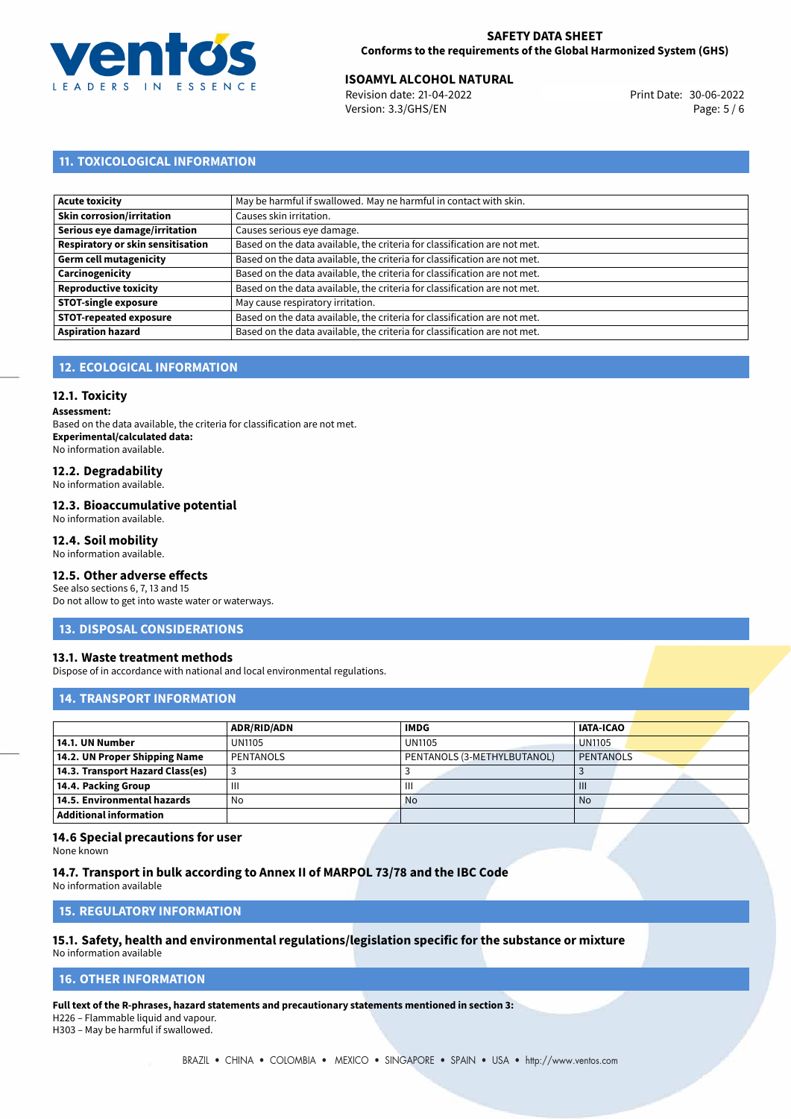

# **ISOAMYL ALCOHOL NATURAL**<br>30-06-2022 **ISO** Print Date: 30-06-2022

Revision date: 21-04-2022 Version: 3.3/GHS/EN Page: 5 / 6

# **11. TOXICOLOGICAL INFORMATION**

| Acute toxicity                           | May be harmful if swallowed. May ne harmful in contact with skin.         |
|------------------------------------------|---------------------------------------------------------------------------|
| Skin corrosion/irritation                | Causes skin irritation.                                                   |
| Serious eye damage/irritation            | Causes serious eye damage.                                                |
| <b>Respiratory or skin sensitisation</b> | Based on the data available, the criteria for classification are not met. |
| Germ cell mutagenicity                   | Based on the data available, the criteria for classification are not met. |
| Carcinogenicity                          | Based on the data available, the criteria for classification are not met. |
| Reproductive toxicity                    | Based on the data available, the criteria for classification are not met. |
| STOT-single exposure                     | May cause respiratory irritation.                                         |
| <b>STOT-repeated exposure</b>            | Based on the data available, the criteria for classification are not met. |
| <b>Aspiration hazard</b>                 | Based on the data available, the criteria for classification are not met. |

# **12. ECOLOGICAL INFORMATION**

#### **12.1. Toxicity**

**Assessment:**

Based on the data available, the criteria for classification are not met. **Experimental/calculated data:** No information available.

### **12.2. Degradability**

No information available.

#### **12.3. Bioaccumulative potential**

No information available.

#### **12.4. Soil mobility**

No information available.

# **12.5. Other adverse effects**

See also sections 6, 7, 13 and 15 Do not allow to get into waste water or waterways.

#### **13. DISPOSAL CONSIDERATIONS**

#### **13.1. Waste treatment methods**

Dispose of in accordance with national and local environmental regulations.

#### **14. TRANSPORT INFORMATION**

|                                  | ADR/RID/ADN | <b>IMDG</b>                 | <b>IATA-ICAO</b> |  |
|----------------------------------|-------------|-----------------------------|------------------|--|
| 14.1. UN Number                  | UN1105      | <b>UN1105</b>               | <b>UN1105</b>    |  |
| 14.2. UN Proper Shipping Name    | PENTANOLS   | PENTANOLS (3-METHYLBUTANOL) | PENTANOLS        |  |
| 14.3. Transport Hazard Class(es) |             |                             |                  |  |
| 14.4. Packing Group              | Ш           | $\mathbf{III}$              | $\mathbf{III}$   |  |
| 14.5. Environmental hazards      | No          | <b>No</b>                   | <b>No</b>        |  |
| Additional information           |             |                             |                  |  |

#### **14.6 Special precautions for user**

None known

#### **14.7. Transport in bulk according to Annex II of MARPOL 73/78 and the IBC Code**

No information available

### **15. REGULATORY INFORMATION**

# **15.1. Safety, health and environmental regulations/legislation specific for the substance or mixture**

No information available

#### <span id="page-4-0"></span>**16. OTHER INFORMATION**

**Full text of the R-phrases, hazard statements and precautionary statements mentioned in section 3:**

H226 – Flammable liquid and vapour.